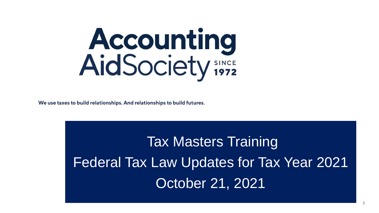

We use taxes to build relationships. And relationships to build futures.

Tax Masters Training Federal Tax Law Updates for Tax Year 2021 October 21, 2021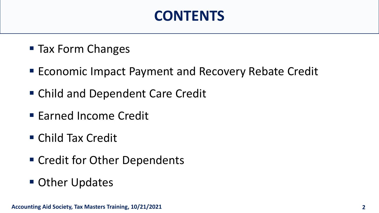#### **CONTENTS**

- Tax Form Changes
- **Economic Impact Payment and Recovery Rebate Credit**
- Child and Dependent Care Credit
- **Earned Income Credit**
- Child Tax Credit
- Credit for Other Dependents
- **Other Updates**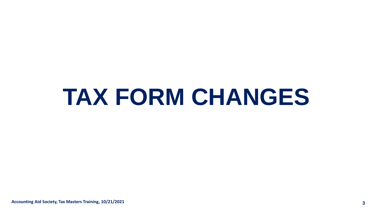# **TAX FORM CHANGES**

**Accounting Aid Society, Tax Masters Training, 10/21/2021 3**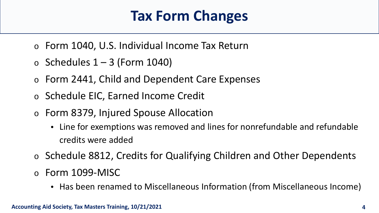#### **Tax Form Changes**

- o Form 1040, U.S. Individual Income Tax Return
- $\circ$  Schedules 1 3 (Form 1040)
- o Form 2441, Child and Dependent Care Expenses
- o Schedule EIC, Earned Income Credit
- o Form 8379, Injured Spouse Allocation
	- Line for exemptions was removed and lines for nonrefundable and refundable credits were added
- o Schedule 8812, Credits for Qualifying Children and Other Dependents
- o Form 1099-MISC
	- Has been renamed to Miscellaneous Information (from Miscellaneous Income)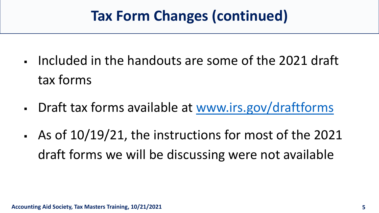#### **Tax Form Changes (continued)**

- Included in the handouts are some of the 2021 draft tax forms
- Draft tax forms available at [www.irs.gov/draftforms](http://www.irs.gov/draftforms)
- As of 10/19/21, the instructions for most of the 2021 draft forms we will be discussing were not available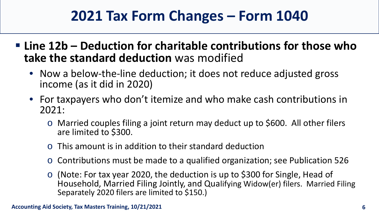#### **2021 Tax Form Changes – Form 1040**

- **Line 12b – Deduction for charitable contributions for those who take the standard deduction** was modified
	- Now a below-the-line deduction; it does not reduce adjusted gross income (as it did in 2020)
	- For taxpayers who don't itemize and who make cash contributions in 2021:
		- o Married couples filing a joint return may deduct up to \$600. All other filers are limited to \$300.
		- o This amount is in addition to their standard deduction
		- o Contributions must be made to a qualified organization; see Publication 526
		- o (Note: For tax year 2020, the deduction is up to \$300 for Single, Head of Household, Married Filing Jointly, and Qualifying Widow(er) filers. Married Filing Separately 2020 filers are limited to \$150.)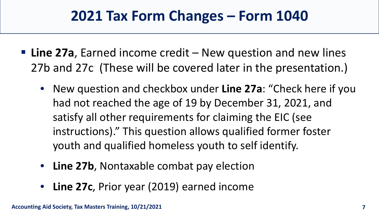#### **2021 Tax Form Changes – Form 1040**

- **Line 27a**, Earned income credit New question and new lines 27b and 27c (These will be covered later in the presentation.)
	- New question and checkbox under **Line 27a**: "Check here if you had not reached the age of 19 by December 31, 2021, and satisfy all other requirements for claiming the EIC (see instructions)." This question allows qualified former foster youth and qualified homeless youth to self identify.
	- **Line 27b, Nontaxable combat pay election**
	- **Line 27c**, Prior year (2019) earned income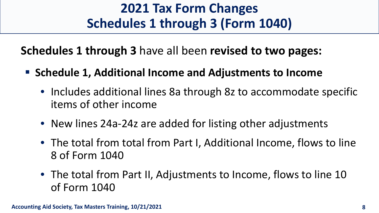#### **2021 Tax Form Changes Schedules 1 through 3 (Form 1040)**

**Schedules 1 through 3** have all been **revised to two pages:**

- **Schedule 1, Additional Income and Adjustments to Income**
	- Includes additional lines 8a through 8z to accommodate specific items of other income
	- New lines 24a-24z are added for listing other adjustments
	- The total from total from Part I, Additional Income, flows to line 8 of Form 1040
	- The total from Part II, Adjustments to Income, flows to line 10 of Form 1040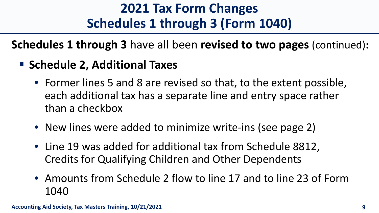#### **2021 Tax Form Changes Schedules 1 through 3 (Form 1040)**

**Schedules 1 through 3** have all been **revised to two pages** (continued)**:**

#### **Schedule 2, Additional Taxes**

- Former lines 5 and 8 are revised so that, to the extent possible, each additional tax has a separate line and entry space rather than a checkbox
- New lines were added to minimize write-ins (see page 2)
- Line 19 was added for additional tax from Schedule 8812, Credits for Qualifying Children and Other Dependents
- Amounts from Schedule 2 flow to line 17 and to line 23 of Form 1040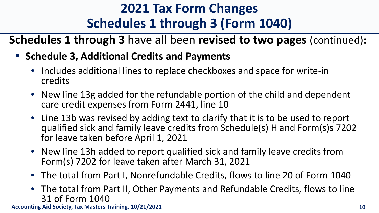#### **2021 Tax Form Changes Schedules 1 through 3 (Form 1040)**

**Schedules 1 through 3** have all been **revised to two pages** (continued)**:**

- **F** Schedule 3, Additional Credits and Payments
	- Includes additional lines to replace checkboxes and space for write-in credits
	- New line 13g added for the refundable portion of the child and dependent care credit expenses from Form 2441, line 10
	- Line 13b was revised by adding text to clarify that it is to be used to report qualified sick and family leave credits from Schedule(s) H and Form(s)s 7202 for leave taken before April 1, 2021
	- New line 13h added to report qualified sick and family leave credits from Form(s) 7202 for leave taken after March 31, 2021
	- The total from Part I, Nonrefundable Credits, flows to line 20 of Form 1040
	- The total from Part II, Other Payments and Refundable Credits, flows to line 31 of Form 1040

**Accounting Aid Society, Tax Masters Training, 10/21/2021 10**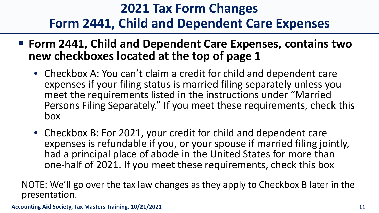#### **2021 Tax Form Changes Form 2441, Child and Dependent Care Expenses**

- **Form 2441, Child and Dependent Care Expenses, contains two new checkboxes located at the top of page 1**
	- Checkbox A: You can't claim a credit for child and dependent care expenses if your filing status is married filing separately unless you meet the requirements listed in the instructions under "Married Persons Filing Separately." If you meet these requirements, check this box
	- Checkbox B: For 2021, your credit for child and dependent care expenses is refundable if you, or your spouse if married filing jointly, had a principal place of abode in the United States for more than one-half of 2021. If you meet these requirements, check this box

NOTE: We'll go over the tax law changes as they apply to Checkbox B later in the presentation.

**Accounting Aid Society, Tax Masters Training, 10/21/2021 11**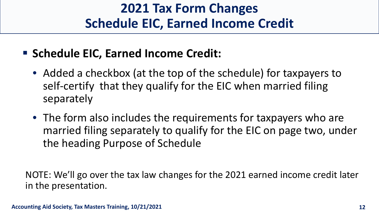#### **2021 Tax Form Changes Schedule EIC, Earned Income Credit**

- **F** Schedule EIC, Earned Income Credit:
	- Added a checkbox (at the top of the schedule) for taxpayers to self-certify that they qualify for the EIC when married filing separately
	- The form also includes the requirements for taxpayers who are married filing separately to qualify for the EIC on page two, under the heading Purpose of Schedule

NOTE: We'll go over the tax law changes for the 2021 earned income credit later in the presentation.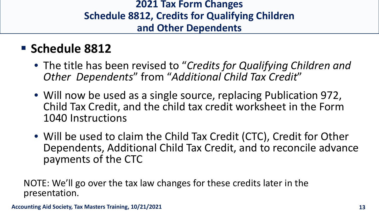#### **2021 Tax Form Changes Schedule 8812, Credits for Qualifying Children and Other Dependents**

#### **Schedule 8812**

- The title has been revised to "*Credits for Qualifying Children and Other Dependents*" from "*Additional Child Tax Credit*"
- Will now be used as a single source, replacing Publication 972, Child Tax Credit, and the child tax credit worksheet in the Form 1040 Instructions
- Will be used to claim the Child Tax Credit (CTC), Credit for Other Dependents, Additional Child Tax Credit, and to reconcile advance payments of the CTC

NOTE: We'll go over the tax law changes for these credits later in the presentation.

**Accounting Aid Society, Tax Masters Training, 10/21/2021 13**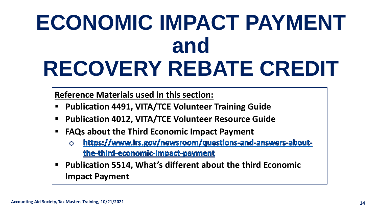# **ECONOMIC IMPACT PAYMENT and RECOVERY REBATE CREDIT**

**Reference Materials used in this section:**

- **Publication 4491, VITA/TCE Volunteer Training Guide**
- **Publication 4012, VITA/TCE Volunteer Resource Guide**
- **FAQs about the Third Economic Impact Payment**
	- https://www.irs.gov/newsroom/questions-and-answers-about- $\Omega$ the-third-economic-impact-payment
- **Publication 5514, What's different about the third Economic Impact Payment**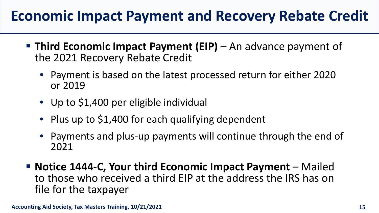#### **Economic Impact Payment and Recovery Rebate Credit**

- **Third Economic Impact Payment (EIP)** An advance payment of the 2021 Recovery Rebate Credit
	- Payment is based on the latest processed return for either 2020 or 2019
	- Up to \$1,400 per eligible individual
	- Plus up to \$1,400 for each qualifying dependent
	- Payments and plus-up payments will continue through the end of 2021
- **Notice 1444-C, Your third Economic Impact Payment** Mailed to those who received a third EIP at the address the IRS has on file for the taxpayer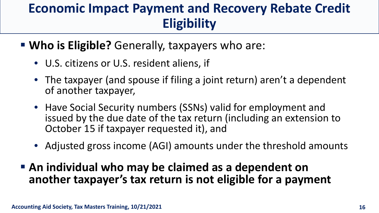#### **Economic Impact Payment and Recovery Rebate Credit Eligibility**

- **Who is Eligible?** Generally, taxpayers who are:
	- U.S. citizens or U.S. resident aliens, if
	- The taxpayer (and spouse if filing a joint return) aren't a dependent of another taxpayer,
	- Have Social Security numbers (SSNs) valid for employment and issued by the due date of the tax return (including an extension to October 15 if taxpayer requested it), and
	- Adjusted gross income (AGI) amounts under the threshold amounts
- **An individual who may be claimed as a dependent on another taxpayer's tax return is not eligible for a payment**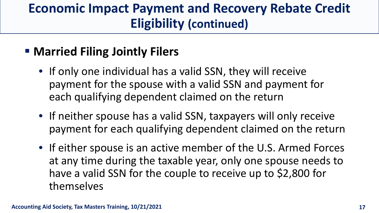#### **Economic Impact Payment and Recovery Rebate Credit Eligibility (continued)**

#### **EXAGE Married Filing Jointly Filers**

- If only one individual has a valid SSN, they will receive payment for the spouse with a valid SSN and payment for each qualifying dependent claimed on the return
- If neither spouse has a valid SSN, taxpayers will only receive payment for each qualifying dependent claimed on the return
- If either spouse is an active member of the U.S. Armed Forces at any time during the taxable year, only one spouse needs to have a valid SSN for the couple to receive up to \$2,800 for themselves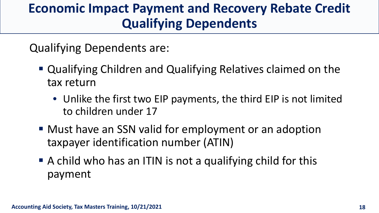#### **Economic Impact Payment and Recovery Rebate Credit Qualifying Dependents**

Qualifying Dependents are:

- Qualifying Children and Qualifying Relatives claimed on the tax return
	- Unlike the first two EIP payments, the third EIP is not limited to children under 17
- Must have an SSN valid for employment or an adoption taxpayer identification number (ATIN)
- A child who has an ITIN is not a qualifying child for this payment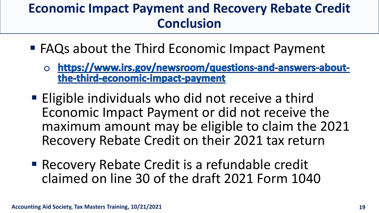#### **Economic Impact Payment and Recovery Rebate Credit Conclusion**

- FAQs about the Third Economic Impact Payment
	- o https://www.irs.gov/newsroom/questions-and-answers-aboutthe-third-economic-impact-payment
- **Eligible individuals who did not receive a third** Economic Impact Payment or did not receive the maximum amount may be eligible to claim the 2021 Recovery Rebate Credit on their 2021 tax return
- **Recovery Rebate Credit is a refundable credit** claimed on line 30 of the draft 2021 Form 1040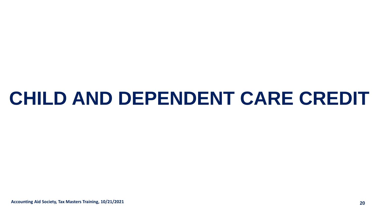## **CHILD AND DEPENDENT CARE CREDIT**

**Accounting Aid Society, Tax Masters Training, 10/21/2021 20**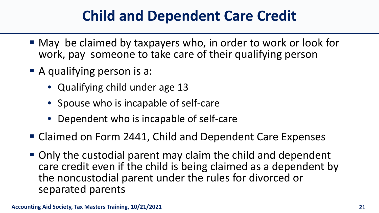- May be claimed by taxpayers who, in order to work or look for work, pay someone to take care of their qualifying person
- A qualifying person is a:
	- Qualifying child under age 13
	- Spouse who is incapable of self-care
	- Dependent who is incapable of self-care
- Claimed on Form 2441, Child and Dependent Care Expenses
- Only the custodial parent may claim the child and dependent care credit even if the child is being claimed as a dependent by the noncustodial parent under the rules for divorced or separated parents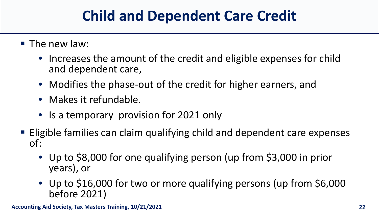- **The new law:** 
	- Increases the amount of the credit and eligible expenses for child and dependent care,
	- Modifies the phase-out of the credit for higher earners, and
	- Makes it refundable.
	- Is a temporary provision for 2021 only
- Eligible families can claim qualifying child and dependent care expenses of:
	- Up to \$8,000 for one qualifying person (up from \$3,000 in prior years), or
	- Up to \$16,000 for two or more qualifying persons (up from \$6,000 before 2021)

**Accounting Aid Society, Tax Masters Training, 10/21/2021 22**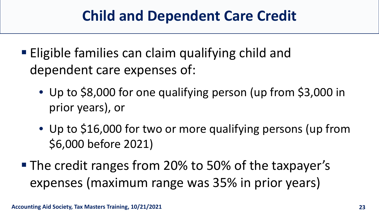- **Eligible families can claim qualifying child and** dependent care expenses of:
	- Up to \$8,000 for one qualifying person (up from \$3,000 in prior years), or
	- Up to \$16,000 for two or more qualifying persons (up from \$6,000 before 2021)
- **The credit ranges from 20% to 50% of the taxpayer's** expenses (maximum range was 35% in prior years)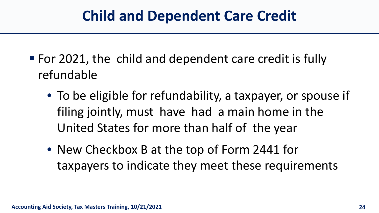- For 2021, the child and dependent care credit is fully refundable
	- To be eligible for refundability, a taxpayer, or spouse if filing jointly, must have had a main home in the United States for more than half of the year
	- New Checkbox B at the top of Form 2441 for taxpayers to indicate they meet these requirements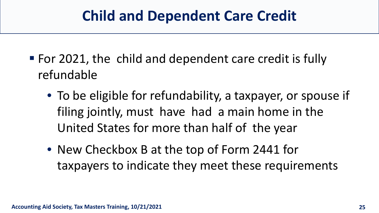- For 2021, the child and dependent care credit is fully refundable
	- To be eligible for refundability, a taxpayer, or spouse if filing jointly, must have had a main home in the United States for more than half of the year
	- New Checkbox B at the top of Form 2441 for taxpayers to indicate they meet these requirements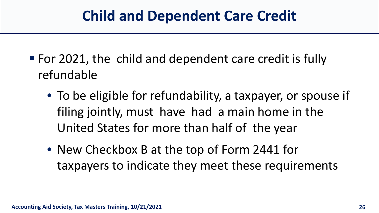- For 2021, the child and dependent care credit is fully refundable
	- To be eligible for refundability, a taxpayer, or spouse if filing jointly, must have had a main home in the United States for more than half of the year
	- New Checkbox B at the top of Form 2441 for taxpayers to indicate they meet these requirements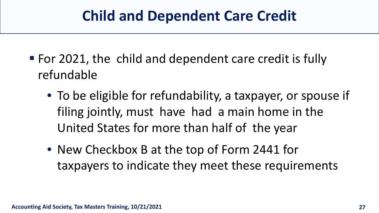- For 2021, the child and dependent care credit is fully refundable
	- To be eligible for refundability, a taxpayer, or spouse if filing jointly, must have had a main home in the United States for more than half of the year
	- New Checkbox B at the top of Form 2441 for taxpayers to indicate they meet these requirements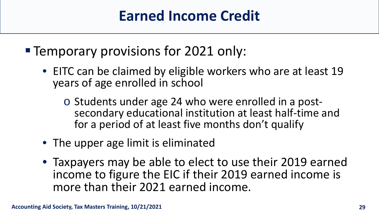#### **Temporary provisions for 2021 only:**

- EITC can be claimed by eligible workers who are at least 19 years of age enrolled in school
	- <sup>o</sup> Students under age 24 who were enrolled in a post- secondary educational institution at least half-time and for a period of at least five months don't qualify
- The upper age limit is eliminated
- Taxpayers may be able to elect to use their 2019 earned income to figure the EIC if their 2019 earned income is more than their 2021 earned income.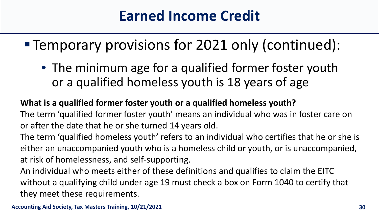## Temporary provisions for 2021 only (continued):

• The minimum age for a qualified former foster youth or a qualified homeless youth is 18 years of age

#### **What is a qualified former foster youth or a qualified homeless youth?**

The term 'qualified former foster youth' means an individual who was in foster care on or after the date that he or she turned 14 years old.

The term 'qualified homeless youth' refers to an individual who certifies that he or she is either an unaccompanied youth who is a homeless child or youth, or is unaccompanied, at risk of homelessness, and self-supporting.

An individual who meets either of these definitions and qualifies to claim the EITC without a qualifying child under age 19 must check a box on Form 1040 to certify that they meet these requirements.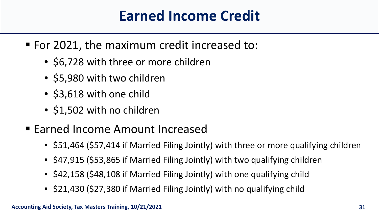- For 2021, the maximum credit increased to:
	- \$6,728 with three or more children
	- \$5,980 with two children
	- \$3,618 with one child
	- \$1,502 with no children
- **Earned Income Amount Increased** 
	- \$51,464 (\$57,414 if Married Filing Jointly) with three or more qualifying children
	- \$47,915 (\$53,865 if Married Filing Jointly) with two qualifying children
	- \$42,158 (\$48,108 if Married Filing Jointly) with one qualifying child
	- \$21,430 (\$27,380 if Married Filing Jointly) with no qualifying child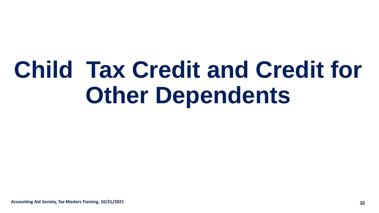# **Child Tax Credit and Credit for Other Dependents**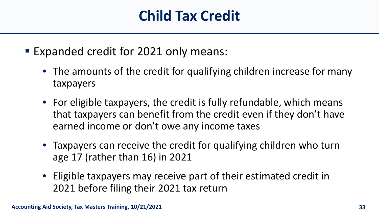- Expanded credit for 2021 only means:
	- The amounts of the credit for qualifying children increase for many taxpayers
	- For eligible taxpayers, the credit is fully refundable, which means that taxpayers can benefit from the credit even if they don't have earned income or don't owe any income taxes
	- Taxpayers can receive the credit for qualifying children who turn age 17 (rather than 16) in 2021
	- Eligible taxpayers may receive part of their estimated credit in 2021 before filing their 2021 tax return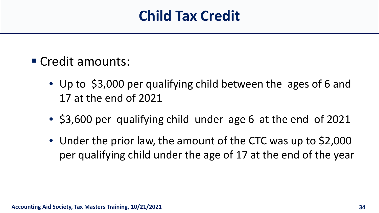- Credit amounts:
	- Up to \$3,000 per qualifying child between the ages of 6 and 17 at the end of 2021
	- \$3,600 per qualifying child under age 6 at the end of 2021
	- Under the prior law, the amount of the CTC was up to \$2,000 per qualifying child under the age of 17 at the end of the year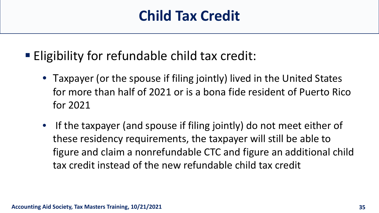#### **Eligibility for refundable child tax credit:**

- Taxpayer (or the spouse if filing jointly) lived in the United States for more than half of 2021 or is a bona fide resident of Puerto Rico for 2021
- If the taxpayer (and spouse if filing jointly) do not meet either of these residency requirements, the taxpayer will still be able to figure and claim a nonrefundable CTC and figure an additional child tax credit instead of the new refundable child tax credit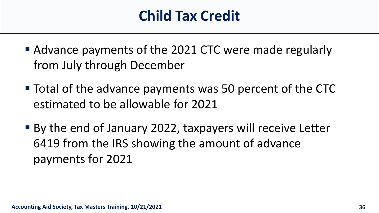- Advance payments of the 2021 CTC were made regularly from July through December
- Total of the advance payments was 50 percent of the CTC estimated to be allowable for 2021
- By the end of January 2022, taxpayers will receive Letter 6419 from the IRS showing the amount of advance payments for 2021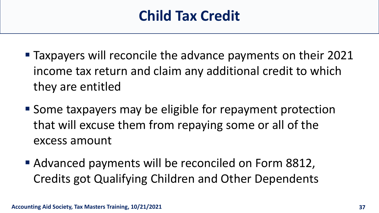- **Taxpayers will reconcile the advance payments on their 2021** income tax return and claim any additional credit to which they are entitled
- Some taxpayers may be eligible for repayment protection that will excuse them from repaying some or all of the excess amount
- Advanced payments will be reconciled on Form 8812, Credits got Qualifying Children and Other Dependents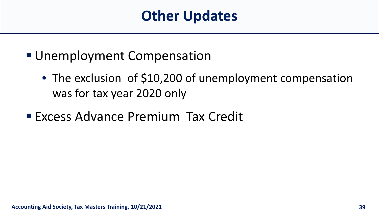- **Unemployment Compensation** 
	- The exclusion of \$10,200 of unemployment compensation was for tax year 2020 only
- **Excess Advance Premium Tax Credit**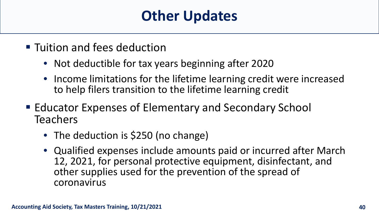- **Tuition and fees deduction** 
	- Not deductible for tax years beginning after 2020
	- Income limitations for the lifetime learning credit were increased to help filers transition to the lifetime learning credit
- Educator Expenses of Elementary and Secondary School Teachers
	- The deduction is \$250 (no change)
	- Qualified expenses include amounts paid or incurred after March 12, 2021, for personal protective equipment, disinfectant, and other supplies used for the prevention of the spread of coronavirus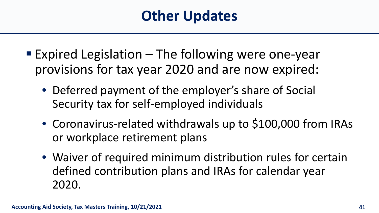- **Expired Legislation The following were one-year** provisions for tax year 2020 and are now expired:
	- Deferred payment of the employer's share of Social Security tax for self-employed individuals
	- Coronavirus-related withdrawals up to \$100,000 from IRAs or workplace retirement plans
	- Waiver of required minimum distribution rules for certain defined contribution plans and IRAs for calendar year 2020.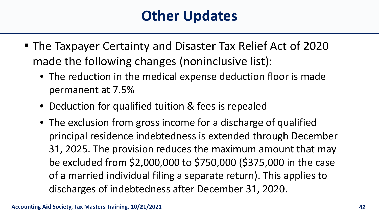- The Taxpayer Certainty and Disaster Tax Relief Act of 2020 made the following changes (noninclusive list):
	- The reduction in the medical expense deduction floor is made permanent at 7.5%
	- Deduction for qualified tuition & fees is repealed
	- The exclusion from gross income for a discharge of qualified principal residence indebtedness is extended through December 31, 2025. The provision reduces the maximum amount that may be excluded from \$2,000,000 to \$750,000 (\$375,000 in the case of a married individual filing a separate return). This applies to discharges of indebtedness after December 31, 2020.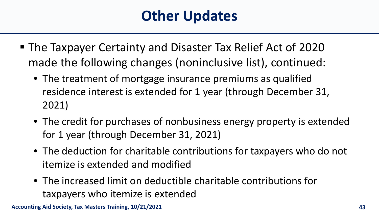- The Taxpayer Certainty and Disaster Tax Relief Act of 2020 made the following changes (noninclusive list), continued:
	- The treatment of mortgage insurance premiums as qualified residence interest is extended for 1 year (through December 31, 2021)
	- The credit for purchases of nonbusiness energy property is extended for 1 year (through December 31, 2021)
	- The deduction for charitable contributions for taxpayers who do not itemize is extended and modified
	- The increased limit on deductible charitable contributions for taxpayers who itemize is extended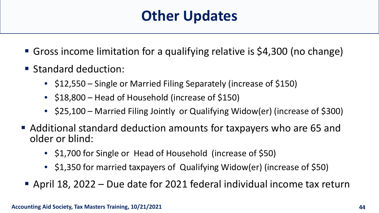- Gross income limitation for a qualifying relative is \$4,300 (no change)
- **Standard deduction:** 
	- \$12,550 Single or Married Filing Separately (increase of \$150)
	- \$18,800 Head of Household (increase of \$150)
	- \$25,100 Married Filing Jointly or Qualifying Widow(er) (increase of \$300)
- Additional standard deduction amounts for taxpayers who are 65 and older or blind:
	- \$1,700 for Single or Head of Household (increase of \$50)
	- \$1,350 for married taxpayers of Qualifying Widow(er) (increase of \$50)
- April 18, 2022 Due date for 2021 federal individual income tax return